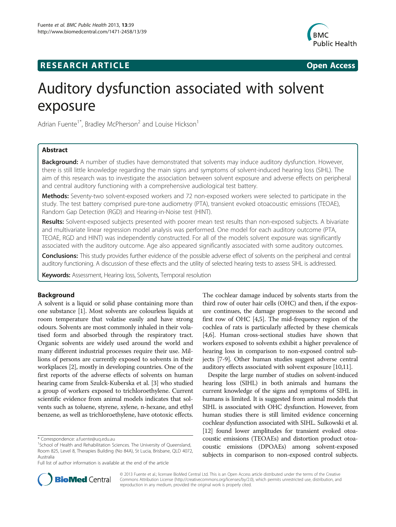## **RESEARCH ARTICLE Example 2014 CONSIDERING A RESEARCH ARTICLE**



# Auditory dysfunction associated with solvent exposure

Adrian Fuente<sup>1\*</sup>, Bradley McPherson<sup>2</sup> and Louise Hickson<sup>1</sup>

## Abstract

Background: A number of studies have demonstrated that solvents may induce auditory dysfunction. However, there is still little knowledge regarding the main signs and symptoms of solvent-induced hearing loss (SIHL). The aim of this research was to investigate the association between solvent exposure and adverse effects on peripheral and central auditory functioning with a comprehensive audiological test battery.

Methods: Seventy-two solvent-exposed workers and 72 non-exposed workers were selected to participate in the study. The test battery comprised pure-tone audiometry (PTA), transient evoked otoacoustic emissions (TEOAE), Random Gap Detection (RGD) and Hearing-in-Noise test (HINT).

Results: Solvent-exposed subjects presented with poorer mean test results than non-exposed subjects. A bivariate and multivariate linear regression model analysis was performed. One model for each auditory outcome (PTA, TEOAE, RGD and HINT) was independently constructed. For all of the models solvent exposure was significantly associated with the auditory outcome. Age also appeared significantly associated with some auditory outcomes.

Conclusions: This study provides further evidence of the possible adverse effect of solvents on the peripheral and central auditory functioning. A discussion of these effects and the utility of selected hearing tests to assess SIHL is addressed.

Keywords: Assessment, Hearing loss, Solvents, Temporal resolution

## Background

A solvent is a liquid or solid phase containing more than one substance [\[1](#page-11-0)]. Most solvents are colourless liquids at room temperature that volatise easily and have strong odours. Solvents are most commonly inhaled in their volatised form and absorbed through the respiratory tract. Organic solvents are widely used around the world and many different industrial processes require their use. Millions of persons are currently exposed to solvents in their workplaces [[2\]](#page-11-0), mostly in developing countries. One of the first reports of the adverse effects of solvents on human hearing came from Szulck-Kuberska et al. [[3](#page-11-0)] who studied a group of workers exposed to trichloroethylene. Current scientific evidence from animal models indicates that solvents such as toluene, styrene, xylene, n-hexane, and ethyl benzene, as well as trichloroethylene, have ototoxic effects.

\* Correspondence: [a.fuente@uq.edu.au](mailto:a.fuente@uq.edu.au) <sup>1</sup>

Full list of author information is available at the end of the article

The cochlear damage induced by solvents starts from the third row of outer hair cells (OHC) and then, if the exposure continues, the damage progresses to the second and first row of OHC [\[4,5\]](#page-11-0). The mid-frequency region of the cochlea of rats is particularly affected by these chemicals [[4,6](#page-11-0)]. Human cross-sectional studies have shown that workers exposed to solvents exhibit a higher prevalence of hearing loss in comparison to non-exposed control subjects [[7-9](#page-11-0)]. Other human studies suggest adverse central auditory effects associated with solvent exposure [\[10,11](#page-11-0)].

Despite the large number of studies on solvent-induced hearing loss (SIHL) in both animals and humans the current knowledge of the signs and symptoms of SIHL in humans is limited. It is suggested from animal models that SIHL is associated with OHC dysfunction. However, from human studies there is still limited evidence concerning cochlear dysfunction associated with SIHL. Sulkowski et al. [[12](#page-11-0)] found lower amplitudes for transient evoked otoacoustic emissions (TEOAEs) and distortion product otoacoustic emissions (DPOAEs) among solvent-exposed subjects in comparison to non-exposed control subjects.



© 2013 Fuente et al.; licensee BioMed Central Ltd. This is an Open Access article distributed under the terms of the Creative Commons Attribution License [\(http://creativecommons.org/licenses/by/2.0\)](http://creativecommons.org/licenses/by/2.0), which permits unrestricted use, distribution, and reproduction in any medium, provided the original work is properly cited.

<sup>&</sup>lt;sup>1</sup>School of Health and Rehabilitation Sciences. The University of Queensland, Room 825, Level 8, Therapies Building (No 84A), St Lucia, Brisbane, QLD 4072, Australia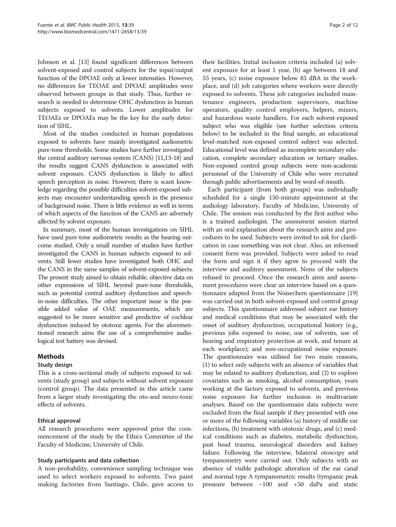Johnson et al. [\[13\]](#page-11-0) found significant differences between solvent-exposed and control subjects for the input/output function of the DPOAE only at lower intensities. However, no differences for TEOAE and DPOAE amplitudes were observed between groups in that study. Thus, further research is needed to determine OHC dysfunction in human subjects exposed to solvents. Lower amplitudes for TEOAEs or DPOAEs may be the key for the early detection of SIHL.

Most of the studies conducted in human populations exposed to solvents have mainly investigated audiometric pure-tone thresholds. Some studies have further investigated the central auditory nervous system (CANS) [[11,13](#page-11-0)-[18](#page-11-0)] and the results suggest CANS dysfunction is associated with solvent exposure. CANS dysfunction is likely to affect speech perception in noise. However, there is scant knowledge regarding the possible difficulties solvent-exposed subjects may encounter understanding speech in the presence of background noise. There is little evidence as well in terms of which aspects of the function of the CANS are adversely affected by solvent exposure.

In summary, most of the human investigations on SIHL have used pure-tone audiometric results as the hearing outcome studied. Only a small number of studies have further investigated the CANS in human subjects exposed to solvents. Still fewer studies have investigated both OHC and the CANS in the same samples of solvent-exposed subjects. The present study aimed to obtain reliable, objective data on other expressions of SIHL beyond pure-tone thresholds, such as potential central auditory dysfunction and speechin-noise difficulties. The other important issue is the possible added value of OAE measurements, which are suggested to be more sensitive and predictive of cochlear dysfunction induced by ototoxic agents. For the aforementioned research aims the use of a comprehensive audiological test battery was devised.

## Methods

## Study design

This is a cross-sectional study of subjects exposed to solvents (study group) and subjects without solvent exposure (control group). The data presented in this article came from a larger study investigating the oto-and neuro-toxic effects of solvents.

## Ethical approval

All research procedures were approved prior the commencement of the study by the Ethics Committee of the Faculty of Medicine, University of Chile.

#### Study participants and data collection

A non-probability, convenience sampling technique was used to select workers exposed to solvents. Two paint making factories from Santiago, Chile, gave access to

their facilities. Initial inclusion criteria included (a) solvent exposure for at least 1 year, (b) age between 18 and 55 years, (c) noise exposure below 85 dBA in the workplace, and (d) job categories where workers were directly exposed to solvents. These job categories included maintenance engineers, production supervisors, machine operators, quality control employers, helpers, mixers, and hazardous waste handlers. For each solvent-exposed subject who was eligible (see further selection criteria below) to be included in the final sample, an educational level-matched non-exposed control subject was selected. Educational level was defined as incomplete secondary education, complete secondary education or tertiary studies. Non-exposed control group subjects were non-academic personnel of the University of Chile who were recruited through public advertisements and by word-of-mouth.

Each participant (from both groups) was individually scheduled for a single 150-minute appointment at the audiology laboratory, Faculty of Medicine, University of Chile. The session was conducted by the first author who is a trained audiologist. The assessment session started with an oral explanation about the research aims and procedures to be used. Subjects were invited to ask for clarification in case something was not clear. Also, an informed consent form was provided. Subjects were asked to read the form and sign it if they agree to proceed with the interview and auditory assessment. None of the subjects refused to proceed. Once the research aims and assessment procedures were clear an interview based on a questionnaire adapted from the Noisechem questionnaire [[19](#page-11-0)] was carried out in both solvent-exposed and control group subjects. This questionnaire addressed subject ear history and medical conditions that may be associated with the onset of auditory dysfunction; occupational history (e.g., previous jobs exposed to noise, use of solvents, use of hearing and respiratory protection at work, and tenure at each workplace); and non-occupational noise exposure. The questionnaire was utilised for two main reasons, (1) to select only subjects with an absence of variables that may be related to auditory dysfunction, and (2) to explore covariates such as smoking, alcohol consumption, years working at the factory exposed to solvents, and previous noise exposure for further inclusion in multivariate analyses. Based on the questionnaire data subjects were excluded from the final sample if they presented with one or more of the following variables (a) history of middle ear infections, (b) treatment with ototoxic drugs, and (c) medical conditions such as diabetes, metabolic dysfunction, past head trauma, neurological disorders and kidney failure. Following the interview, bilateral otoscopy and tympanometry were carried out. Only subjects with an absence of visible pathologic alteration of the ear canal and normal type A tympanometric results (tympanic peak pressure between −100 and +50 daPa and static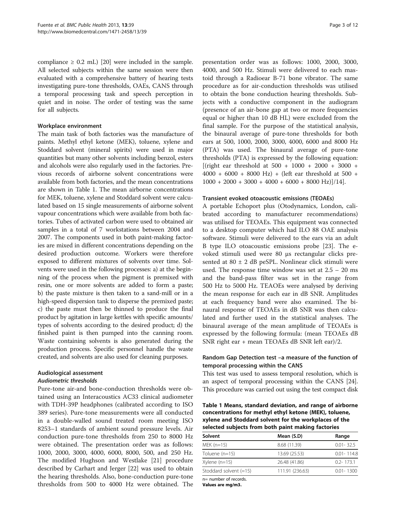compliance  $\geq 0.2$  mL) [[20](#page-11-0)] were included in the sample. All selected subjects within the same session were then evaluated with a comprehensive battery of hearing tests investigating pure-tone thresholds, OAEs, CANS through a temporal processing task and speech perception in quiet and in noise. The order of testing was the same for all subjects.

#### Workplace environment

The main task of both factories was the manufacture of paints. Methyl ethyl ketone (MEK), toluene, xylene and Stoddard solvent (mineral spirits) were used in major quantities but many other solvents including benzol, esters and alcohols were also regularly used in the factories. Previous records of airborne solvent concentrations were available from both factories, and the mean concentrations are shown in Table 1. The mean airborne concentrations for MEK, toluene, xylene and Stoddard solvent were calculated based on 15 single measurements of airborne solvent vapour concentrations which were available from both factories. Tubes of activated carbon were used to obtained air samples in a total of 7 workstations between 2004 and 2007. The components used in both paint-making factories are mixed in different concentrations depending on the desired production outcome. Workers were therefore exposed to different mixtures of solvents over time. Solvents were used in the following processes: a) at the beginning of the process when the pigment is premixed with resin, one or more solvents are added to form a paste; b) the paste mixture is then taken to a sand-mill or in a high-speed dispersion tank to disperse the premixed paste; c) the paste must then be thinned to produce the final product by agitation in large kettles with specific amounts/ types of solvents according to the desired product; d) the finished paint is then pumped into the canning room. Waste containing solvents is also generated during the production process. Specific personnel handle the waste created, and solvents are also used for cleaning purposes.

#### Audiological assessment Audiometric thresholds

Pure-tone air-and bone-conduction thresholds were obtained using an Interacoustics AC33 clinical audiometer with TDH-39P headphones (calibrated according to ISO 389 series). Pure-tone measurements were all conducted in a double-walled sound treated room meeting ISO 8253–1 standards of ambient sound pressure levels. Air conduction pure-tone thresholds from 250 to 8000 Hz were obtained. The presentation order was as follows: 1000, 2000, 3000, 4000, 6000, 8000, 500, and 250 Hz. The modified Hughson and Westlake [\[21](#page-11-0)] procedure described by Carhart and Jerger [[22\]](#page-11-0) was used to obtain the hearing thresholds. Also, bone-conduction pure-tone thresholds from 500 to 4000 Hz were obtained. The

presentation order was as follows: 1000, 2000, 3000, 4000, and 500 Hz. Stimuli were delivered to each mastoid through a Radioear B-71 bone vibrator. The same procedure as for air-conduction thresholds was utilised to obtain the bone conduction hearing thresholds. Subjects with a conductive component in the audiogram (presence of an air-bone gap at two or more frequencies equal or higher than 10 dB HL) were excluded from the final sample. For the purpose of the statistical analysis, the binaural average of pure-tone thresholds for both ears at 500, 1000, 2000, 3000, 4000, 6000 and 8000 Hz (PTA) was used. The binaural average of pure-tone thresholds (PTA) is expressed by the following equation: [(right ear threshold at  $500 + 1000 + 2000 + 3000 + 1000$  $4000 + 6000 + 8000$  Hz) + (left ear threshold at 500 +  $1000 + 2000 + 3000 + 4000 + 6000 + 8000$  Hz $]/14$ ].

#### Transient evoked otoacoustic emissions (TEOAEs)

A portable Echoport plus (Otodynamics, London, calibrated according to manufacturer recommendations) was utilised for TEOAEs. This equipment was connected to a desktop computer which had ILO 88 OAE analysis software. Stimuli were delivered to the ears via an adult B type ILO otoacoustic emissions probe [[23\]](#page-11-0). The evoked stimuli used were 80 μs rectangular clicks presented at 80 ± 2 dB peSPL. Nonlinear click stimuli were used. The response time window was set at  $2.5 - 20$  ms and the band-pass filter was set in the range from 500 Hz to 5000 Hz. TEAOEs were analysed by deriving the mean response for each ear in dB SNR. Amplitudes at each frequency band were also examined. The binaural response of TEOAEs in dB SNR was then calculated and further used in the statistical analyses. The binaural average of the mean amplitude of TEOAEs is expressed by the following formula: (mean TEOAEs dB SNR right ear + mean TEOAEs dB SNR left ear)/2.

## Random Gap Detection test –a measure of the function of temporal processing within the CANS

This test was used to assess temporal resolution, which is an aspect of temporal processing within the CANS [[24](#page-11-0)]. This procedure was carried out using the test compact disk

Table 1 Means, standard deviation, and range of airborne concentrations for methyl ethyl ketone (MEK), toluene, xylene and Stoddard solvent for the workplaces of the selected subjects from both paint making factories

| Solvent                | Mean (S.D)      | Range          |
|------------------------|-----------------|----------------|
| $MEK$ (n=15)           | 8.68 (11.39)    | $0.01 - 32.5$  |
| Toluene (n=15)         | 13.69 (25.53)   | $0.01 - 114.8$ |
| $X$ ylene (n=15)       | 26.48 (41.86)   | $0.2 - 173.1$  |
| Stoddard solvent (=15) | 111.91 (236.63) | $0.01 - 1300$  |
| n= number of records.  |                 |                |

Values are mg/m3.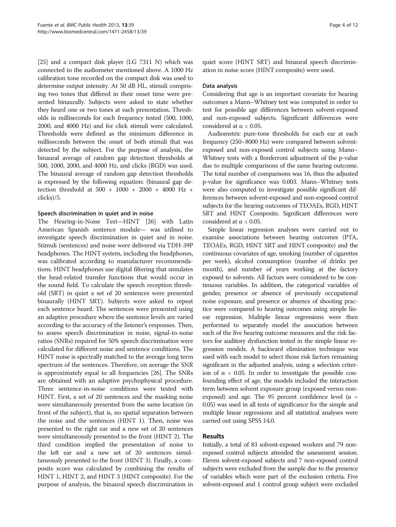[[25](#page-11-0)] and a compact disk player (LG 7311 N) which was connected to the audiometer mentioned above. A 1000 Hz calibration tone recorded on the compact disk was used to determine output intensity. At 50 dB HL, stimuli comprising two tones that differed in their onset time were presented binaurally. Subjects were asked to state whether they heard one or two tones at each presentation. Thresholds in milliseconds for each frequency tested (500, 1000, 2000, and 4000 Hz) and for click stimuli were calculated. Thresholds were defined as the minimum difference in milliseconds between the onset of both stimuli that was detected by the subject. For the purpose of analysis, the binaural average of random gap detection thresholds at 500, 1000, 2000, and 4000 Hz, and clicks (RGD) was used. The binaural average of random gap detection thresholds is expressed by the following equation: (binaural gap detection threshold at 500 + 1000 + 2000 + 4000 Hz + clicks)/5.

## Speech discrimination in quiet and in noise

The Hearing-in-Noise Test—HINT [\[26\]](#page-11-0) with Latin American Spanish sentence module— was utilised to investigate speech discrimination in quiet and in noise. Stimuli (sentences) and noise were delivered via TDH-39P headphones. The HINT system, including the headphones, was calibrated according to manufacturer recommendations. HINT headphones use digital filtering that simulates the head-related transfer functions that would occur in the sound field. To calculate the speech reception threshold (SRT) in quiet a set of 20 sentences were presented binaurally (HINT SRT). Subjects were asked to repeat each sentence heard. The sentences were presented using an adaptive procedure where the sentence levels are varied according to the accuracy of the listener's responses. Then, to assess speech discrimination in noise, signal-to-noise ratios (SNRs) required for 50% speech discrimination were calculated for different noise and sentence conditions. The HINT noise is spectrally matched to the average long term spectrum of the sentences. Therefore, on average the SNR is approximately equal to all frequencies [\[26\]](#page-11-0). The SNRs are obtained with an adaptive psychophysical procedure. Three sentence-in-noise conditions were tested with HINT. First, a set of 20 sentences and the masking noise were simultaneously presented from the same location (in front of the subject), that is, no spatial separation between the noise and the sentences (HINT 1). Then, noise was presented to the right ear and a new set of 20 sentences were simultaneously presented to the front (HINT 2). The third condition implied the presentation of noise to the left ear and a new set of 20 sentences simultaneously presented to the front (HINT 3). Finally, a composite score was calculated by combining the results of HINT 1, HINT 2, and HINT 3 (HINT composite). For the purpose of analysis, the binaural speech discrimination in quiet score (HINT SRT) and binaural speech discrimination in noise score (HINT composite) were used.

#### Data analysis

Considering that age is an important covariate for hearing outcomes a Mann–Whitney test was computed in order to test for possible age differences between solvent-exposed and non-exposed subjects. Significant differences were considered at  $\alpha$  < 0.05.

Audiometric pure-tone thresholds for each ear at each frequency (250–8000 Hz) were compared between solventexposed and non-exposed control subjects using Mann– Whitney tests with a Bonferroni adjustment of the p-value due to multiple comparisons of the same hearing outcome. The total number of comparisons was 16, thus the adjusted p-value for significance was 0.003. Mann–Whitney tests were also computed to investigate possible significant differences between solvent-exposed and non-exposed control subjects for the hearing outcomes of TEOAEs, RGD, HINT SRT and HINT Composite. Significant differences were considered at  $\alpha$  < 0.05.

Simple linear regression analyses were carried out to examine associations between hearing outcomes (PTA, TEOAEs, RGD, HINT SRT and HINT composite) and the continuous covariates of age, smoking (number of cigarettes per week), alcohol consumption (number of drinks per month), and number of years working at the factory exposed to solvents. All factors were considered to be continuous variables. In addition, the categorical variables of gender, presence or absence of previously occupational noise exposure, and presence or absence of shooting practice were compared to hearing outcomes using simple linear regression. Multiple linear regressions were then performed to separately model the association between each of the five hearing outcome measures and the risk factors for auditory dysfunction tested in the simple linear regression models. A backward elimination technique was used with each model to select those risk factors remaining significant in the adjusted analysis, using a selection criterion of α < 0.05. In order to investigate the possible confounding effect of age, the models included the interaction term between solvent exposure group (exposed versus nonexposed) and age. The 95 percent confidence level ( $\alpha$  = 0.05) was used in all tests of significance for the simple and multiple linear regressions and all statistical analyses were carried out using SPSS 14.0.

## Results

Initially, a total of 83 solvent-exposed workers and 79 nonexposed control subjects attended the assessment session. Eleven solvent-exposed subjects and 7 non-exposed control subjects were excluded from the sample due to the presence of variables which were part of the exclusion criteria. Five solvent-exposed and 1 control group subject were excluded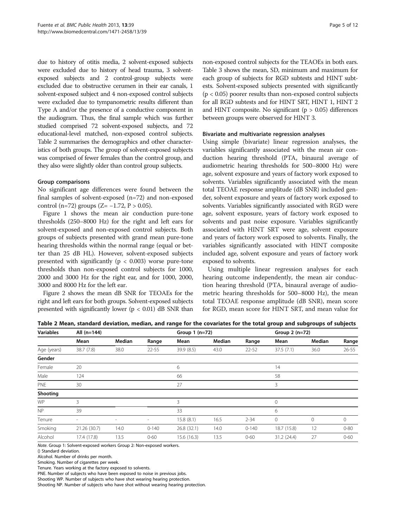due to history of otitis media, 2 solvent-exposed subjects were excluded due to history of head trauma, 3 solventexposed subjects and 2 control-group subjects were excluded due to obstructive cerumen in their ear canals, 1 solvent-exposed subject and 4 non-exposed control subjects were excluded due to tympanometric results different than Type A and/or the presence of a conductive component in the audiogram. Thus, the final sample which was further studied comprised 72 solvent-exposed subjects, and 72 educational-level matched, non-exposed control subjects. Table 2 summarises the demographics and other characteristics of both groups. The group of solvent-exposed subjects was comprised of fewer females than the control group, and they also were slightly older than control group subjects.

## Group comparisons

No significant age differences were found between the final samples of solvent-exposed (n=72) and non-exposed control (n=72) groups (Z=  $-1.72$ , P > 0.05).

Figure [1](#page-5-0) shows the mean air conduction pure-tone thresholds (250–8000 Hz) for the right and left ears for solvent-exposed and non-exposed control subjects. Both groups of subjects presented with grand mean pure-tone hearing thresholds within the normal range (equal or better than 25 dB HL). However, solvent-exposed subjects presented with significantly ( $p < 0.003$ ) worse pure-tone thresholds than non-exposed control subjects for 1000, 2000 and 3000 Hz for the right ear, and for 1000, 2000, 3000 and 8000 Hz for the left ear.

Figure [2](#page-5-0) shows the mean dB SNR for TEOAEs for the right and left ears for both groups. Solvent-exposed subjects presented with significantly lower ( $p < 0.01$ ) dB SNR than

non-exposed control subjects for the TEAOEs in both ears. Table [3](#page-6-0) shows the mean, SD, minimum and maximum for each group of subjects for RGD subtests and HINT subtests. Solvent-exposed subjects presented with significantly  $(p < 0.05)$  poorer results than non-exposed control subjects for all RGD subtests and for HINT SRT, HINT 1, HINT 2 and HINT composite. No significant ( $p > 0.05$ ) differences between groups were observed for HINT 3.

#### Bivariate and multivariate regression analyses

Using simple (bivariate) linear regression analyses, the variables significantly associated with the mean air conduction hearing threshold (PTA, binaural average of audiometric hearing thresholds for 500–8000 Hz) were age, solvent exposure and years of factory work exposed to solvents. Variables significantly associated with the mean total TEOAE response amplitude (dB SNR) included gender, solvent exposure and years of factory work exposed to solvents. Variables significantly associated with RGD were age, solvent exposure, years of factory work exposed to solvents and past noise exposure. Variables significantly associated with HINT SRT were age, solvent exposure and years of factory work exposed to solvents. Finally, the variables significantly associated with HINT composite included age, solvent exposure and years of factory work exposed to solvents.

Using multiple linear regression analyses for each hearing outcome independently, the mean air conduction hearing threshold (PTA, binaural average of audiometric hearing thresholds for 500–8000 Hz), the mean total TEOAE response amplitude (dB SNR), mean score for RGD, mean score for HINT SRT, and mean value for

| <b>Variables</b> | All $(n=144)$            |                          |                          | Group $1(n=72)$ |        |           |              | Group $2(n=72)$ |              |  |
|------------------|--------------------------|--------------------------|--------------------------|-----------------|--------|-----------|--------------|-----------------|--------------|--|
|                  | Mean                     | Median                   | Range                    | Mean            | Median | Range     | Mean         | Median          | Range        |  |
| Age (years)      | 38.7 (7.8)               | 38.0                     | 22-55                    | 39.9 (8.5)      | 43.0   | $22 - 52$ | 37.5(7.1)    | 36.0            | $26 - 55$    |  |
| Gender           |                          |                          |                          |                 |        |           |              |                 |              |  |
| Female           | 20                       |                          |                          | 6               |        |           | 14           |                 |              |  |
| Male             | 124                      |                          |                          | 66              |        |           | 58           |                 |              |  |
| <b>PNE</b>       | 30                       |                          |                          | 27              |        |           | 3            |                 |              |  |
| Shooting         |                          |                          |                          |                 |        |           |              |                 |              |  |
| <b>WP</b>        | 3                        |                          |                          | 3               |        |           | 0            |                 |              |  |
| NP               | 39                       |                          |                          | 33              |        |           | 6            |                 |              |  |
| Tenure           | $\overline{\phantom{a}}$ | $\overline{\phantom{a}}$ | $\overline{\phantom{a}}$ | 15.8(8.1)       | 16.5   | $2 - 34$  | $\mathbf{0}$ | $\mathbf{0}$    | $\mathbf{0}$ |  |
| Smoking          | 21.26 (30.7)             | 14.0                     | $0 - 140$                | 26.8(32.1)      | 14.0   | $0 - 140$ | 18.7 (15.8)  | 12              | $0 - 80$     |  |
| Alcohol          | 17.4 (17.8)              | 13.5                     | $0 - 60$                 | 15.6(16.3)      | 13.5   | $0 - 60$  | 31.2 (24.4)  | 27              | $0 - 60$     |  |

Note. Group 1: Solvent-exposed workers Group 2: Non-exposed workers.

() Standard deviation.

Alcohol. Number of drinks per month.

Smoking. Number of cigarettes per week.

Tenure. Years working at the factory exposed to solvents.

PNE. Number of subjects who have been exposed to noise in previous jobs.

Shooting WP. Number of subjects who have shot wearing hearing protection.

Shooting NP. Number of subjects who have shot without wearing hearing protection.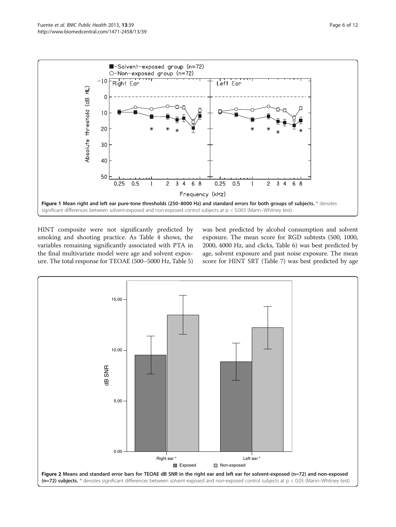<span id="page-5-0"></span>

HINT composite were not significantly predicted by smoking and shooting practice. As Table [4](#page-6-0) shows, the variables remaining significantly associated with PTA in the final multivariate model were age and solvent exposure. The total response for TEOAE (500–5000 Hz, Table [5](#page-7-0)) was best predicted by alcohol consumption and solvent exposure. The mean score for RGD subtests (500, 1000, 2000, 4000 Hz, and clicks, Table [6](#page-8-0)) was best predicted by age, solvent exposure and past noise exposure. The mean score for HINT SRT (Table [7\)](#page-8-0) was best predicted by age

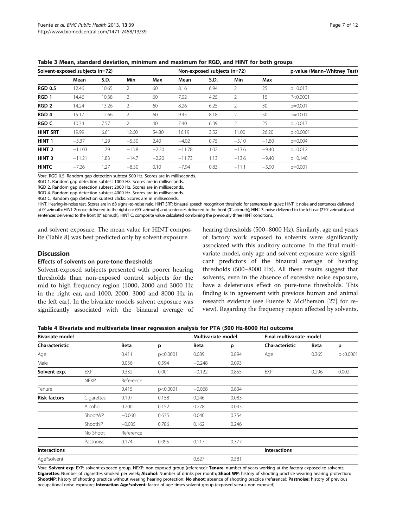| Page 7 of 12 |  |  |
|--------------|--|--|
|              |  |  |

| Solvent-exposed subjects (n=72) |          |       | Non-exposed subjects (n=72) |         |          | p-value (Mann-Whitney Test) |                |         |            |
|---------------------------------|----------|-------|-----------------------------|---------|----------|-----------------------------|----------------|---------|------------|
|                                 | Mean     | S.D.  | Min                         | Max     | Mean     | S.D.                        | Min            | Max     |            |
| <b>RGD 0.5</b>                  | 12.46    | 10.65 | 2                           | 60      | 8.16     | 6.94                        | 2              | 25      | $p=0.013$  |
| RGD <sub>1</sub>                | 14.46    | 10.38 | $\mathcal{P}$               | 60      | 7.02     | 4.25                        | 2              | 15      | P < 0.0001 |
| RGD <sub>2</sub>                | 14.24    | 13.26 | 2                           | 60      | 8.26     | 6.25                        | 2              | 30      | $p=0.001$  |
| RGD <sub>4</sub>                | 15.17    | 12.66 | 2                           | 60      | 9.45     | 8.18                        | 2              | 50      | $p=0.001$  |
| <b>RGD C</b>                    | 10.34    | 7.57  | $\mathcal{P}$               | 40      | 7.40     | 6.39                        | $\overline{2}$ | 25      | $p=0.017$  |
| <b>HINT SRT</b>                 | 19.99    | 6.61  | 12.60                       | 54.80   | 16.19    | 3.52                        | 11.00          | 26.20   | p<0.0001   |
| HINT <sub>1</sub>               | $-3.37$  | 1.29  | $-5.50$                     | 2.40    | $-4.02$  | 0.75                        | $-5.10$        | $-1.80$ | $p=0.004$  |
| HINT <sub>2</sub>               | $-11.03$ | 1.79  | $-13.8$                     | $-2.20$ | $-11.78$ | 1.02                        | $-13.6$        | $-9.40$ | $p=0.012$  |
| HINT <sub>3</sub>               | $-11.21$ | 1.83  | $-14.7$                     | $-2.20$ | $-11.73$ | 1.13                        | $-13.6$        | $-9.40$ | $p=0.140$  |
| <b>HINTC</b>                    | $-7.26$  | 1.27  | $-8.50$                     | 0.10    | $-7.94$  | 0.83                        | $-11.1$        | $-5.90$ | $p=0.001$  |

<span id="page-6-0"></span>Table 3 Mean, standard deviation, minimum and maximum for RGD, and HINT for both groups

Note. RGD 0.5. Random gap detection subtest 500 Hz. Scores are in milliseconds.

RGD 1. Random gap detection subtest 1000 Hz. Scores are in milliseconds.

RGD 2. Random gap detection subtest 2000 Hz. Scores are in milliseconds.

RGD 4. Random gap detection subtest 4000 Hz. Scores are in milliseconds.

RGD C. Random gap detection subtest clicks. Scores are in milliseconds.

HINT. Hearing-in-noise test. Scores are in dB signal-to-noise ratio. HINT SRT: binaural speech recognition threshold for sentences in quiet; HINT 1: noise and sentences delivered at 0° azimuth; HINT 2: noise delivered to the right ear (90° azimuth) and sentences delivered to the front (0° azimuth); HINT 3: noise delivered to the left ear (270° azimuth) and sentences delivered to the front (0° azimuth); HINT C: composite value calculated combining the previously three HINT conditions.

and solvent exposure. The mean value for HINT composite (Table [8](#page-9-0)) was best predicted only by solvent exposure.

## Discussion

#### Effects of solvents on pure-tone thresholds

Solvent-exposed subjects presented with poorer hearing thresholds than non-exposed control subjects for the mid to high frequency region (1000, 2000 and 3000 Hz in the right ear, and 1000, 2000, 3000 and 8000 Hz in the left ear). In the bivariate models solvent exposure was significantly associated with the binaural average of

hearing thresholds (500–8000 Hz). Similarly, age and years of factory work exposed to solvents were significantly associated with this auditory outcome. In the final multivariate model, only age and solvent exposure were significant predictors of the binaural average of hearing thresholds (500–8000 Hz). All these results suggest that solvents, even in the absence of excessive noise exposure, have a deleterious effect on pure-tone thresholds. This finding is in agreement with previous human and animal research evidence (see Fuente & McPherson [\[27\]](#page-11-0) for review). Regarding the frequency region affected by solvents,

Table 4 Bivariate and multivariate linear regression analysis for PTA (500 Hz-8000 Hz) outcome

| <b>Bivariate model</b> |             |           |          | Multivariate model |       | Final multivariate model |       |          |
|------------------------|-------------|-----------|----------|--------------------|-------|--------------------------|-------|----------|
| Characteristic         |             | Beta      | p        | Beta               | p     | Characteristic           | Beta  | p        |
| Age                    |             | 0.411     | p<0.0001 | 0.089              | 0.894 | Age                      | 0.365 | p<0.0001 |
| Male                   |             | 0.056     | 0.594    | $-0.248$           | 0.093 |                          |       |          |
| Solvent exp.           | EXP         | 0.332     | 0.001    | $-0.122$           | 0.855 | EXP                      | 0.296 | 0.002    |
|                        | <b>NEXP</b> | Reference |          |                    |       |                          |       |          |
| Tenure                 |             | 0.415     | p<0.0001 | $-0.068$           | 0.834 |                          |       |          |
| <b>Risk factors</b>    | Cigarettes  | 0.197     | 0.158    | 0.246              | 0.083 |                          |       |          |
|                        | Alcohol     | 0.200     | 0.152    | 0.278              | 0.043 |                          |       |          |
|                        | ShootWP     | $-0.060$  | 0.635    | 0.040              | 0.754 |                          |       |          |
|                        | ShootNP     | $-0.035$  | 0.786    | 0.162              | 0.246 |                          |       |          |
|                        | No Shoot    | Reference |          |                    |       |                          |       |          |
|                        | Pastnoise   | 0.174     | 0.095    | 0.117              | 0.377 |                          |       |          |
| <b>Interactions</b>    |             |           |          |                    |       | <b>Interactions</b>      |       |          |
| Age*solvent            |             |           |          | 0.627              | 0.581 |                          |       |          |

Note. Solvent exp: EXP: solvent-exposed group, NEXP: non-exposed group (reference); Tenure: number of years working at the factory exposed to solvents; Cigarettes: Number of cigarettes smoked per week; Alcohol: Number of drinks per month; Shoot WP: history of shooting practice wearing hearing protection; ShootNP: history of shooting practice without wearing hearing protection; No shoot: absence of shooting practice (reference); Pastnoise: history of previous occupational noise exposure; Interaction Age\*solvent: factor of age times solvent group (exposed versus non-exposed).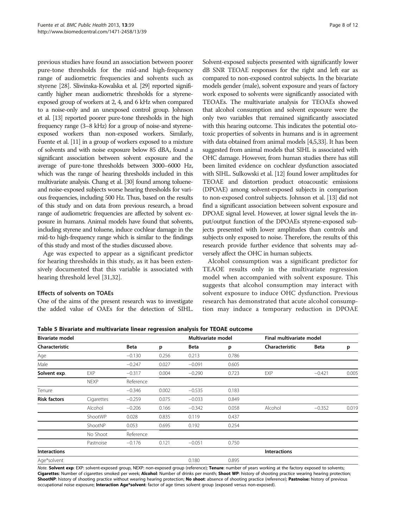<span id="page-7-0"></span>previous studies have found an association between poorer pure-tone thresholds for the mid-and high-frequency range of audiometric frequencies and solvents such as styrene [[28](#page-11-0)]. Sliwinska-Kowalska et al. [\[29](#page-11-0)] reported significantly higher mean audiometric thresholds for a styreneexposed group of workers at 2, 4, and 6 kHz when compared to a noise-only and an unexposed control group. Johnson et al. [\[13](#page-11-0)] reported poorer pure-tone thresholds in the high frequency range (3–8 kHz) for a group of noise-and styreneexposed workers than non-exposed workers. Similarly, Fuente et al. [\[11](#page-11-0)] in a group of workers exposed to a mixture of solvents and with noise exposure below 85 dBA, found a significant association between solvent exposure and the average of pure-tone thresholds between 3000–6000 Hz, which was the range of hearing thresholds included in this multivariate analysis. Chang et al. [[30\]](#page-11-0) found among tolueneand noise-exposed subjects worse hearing thresholds for various frequencies, including 500 Hz. Thus, based on the results of this study and on data from previous research, a broad range of audiometric frequencies are affected by solvent exposure in humans. Animal models have found that solvents, including styrene and toluene, induce cochlear damage in the mid-to high-frequency range which is similar to the findings of this study and most of the studies discussed above.

Age was expected to appear as a significant predictor for hearing thresholds in this study, as it has been extensively documented that this variable is associated with hearing threshold level [\[31,32](#page-11-0)].

#### Effects of solvents on TOAEs

One of the aims of the present research was to investigate the added value of OAEs for the detection of SIHL.

Solvent-exposed subjects presented with significantly lower dB SNR TEOAE responses for the right and left ear as compared to non-exposed control subjects. In the bivariate models gender (male), solvent exposure and years of factory work exposed to solvents were significantly associated with TEOAEs. The multivariate analysis for TEOAEs showed that alcohol consumption and solvent exposure were the only two variables that remained significantly associated with this hearing outcome. This indicates the potential ototoxic properties of solvents in humans and is in agreement with data obtained from animal models [\[4,5,33\]](#page-11-0). It has been suggested from animal models that SIHL is associated with OHC damage. However, from human studies there has still been limited evidence on cochlear dysfunction associated with SIHL. Sulkowski et al. [\[12\]](#page-11-0) found lower amplitudes for TEOAE and distortion product otoacoustic emissions (DPOAE) among solvent-exposed subjects in comparison to non-exposed control subjects. Johnson et al. [[13](#page-11-0)] did not find a significant association between solvent exposure and DPOAE signal level. However, at lower signal levels the input/output function of the DPOAEs styrene-exposed subjects presented with lower amplitudes than controls and subjects only exposed to noise. Therefore, the results of this research provide further evidence that solvents may adversely affect the OHC in human subjects.

Alcohol consumption was a significant predictor for TEAOE results only in the multivariate regression model when accompanied with solvent exposure. This suggests that alcohol consumption may interact with solvent exposure to induce OHC dysfunction. Previous research has demonstrated that acute alcohol consumption may induce a temporary reduction in DPOAE

Table 5 Bivariate and multivariate linear regression analysis for TEOAE outcome

| <b>Bivariate model</b> |             |             |       | Multivariate model |       | Final multivariate model |             |       |
|------------------------|-------------|-------------|-------|--------------------|-------|--------------------------|-------------|-------|
| Characteristic         |             | <b>Beta</b> | p     | Beta               | p     | Characteristic           | <b>Beta</b> | р     |
| Age                    |             | $-0.130$    | 0.256 | 0.213              | 0.786 |                          |             |       |
| Male                   |             | $-0.247$    | 0.027 | $-0.091$           | 0.605 |                          |             |       |
| Solvent exp.           | EXP         | $-0.317$    | 0.004 | $-0.290$           | 0.723 | EXP                      | $-0.421$    | 0.005 |
|                        | <b>NEXP</b> | Reference   |       |                    |       |                          |             |       |
| Tenure                 |             | $-0.346$    | 0.002 | $-0.535$           | 0.183 |                          |             |       |
| <b>Risk factors</b>    | Cigarettes  | $-0.259$    | 0.075 | $-0.033$           | 0.849 |                          |             |       |
|                        | Alcohol     | $-0.206$    | 0.166 | $-0.342$           | 0.058 | Alcohol                  | $-0.352$    | 0.019 |
|                        | ShootWP     | 0.028       | 0.835 | 0.119              | 0.437 |                          |             |       |
|                        | ShootNP     | 0.053       | 0.695 | 0.192              | 0.254 |                          |             |       |
|                        | No Shoot    | Reference   |       |                    |       |                          |             |       |
|                        | Pastnoise   | $-0.176$    | 0.121 | $-0.051$           | 0.750 |                          |             |       |
| <b>Interactions</b>    |             |             |       |                    |       | <b>Interactions</b>      |             |       |
| Age*solvent            |             |             |       | 0.180              | 0.895 |                          |             |       |

Note. Solvent exp: EXP: solvent-exposed group, NEXP: non-exposed group (reference); Tenure: number of years working at the factory exposed to solvents; Cigarettes: Number of cigarettes smoked per week; Alcohol: Number of drinks per month; Shoot WP: history of shooting practice wearing hearing protection; ShootNP: history of shooting practice without wearing hearing protection; No shoot: absence of shooting practice (reference); Pastnoise: history of previous occupational noise exposure; Interaction Age\*solvent: factor of age times solvent group (exposed versus non-exposed).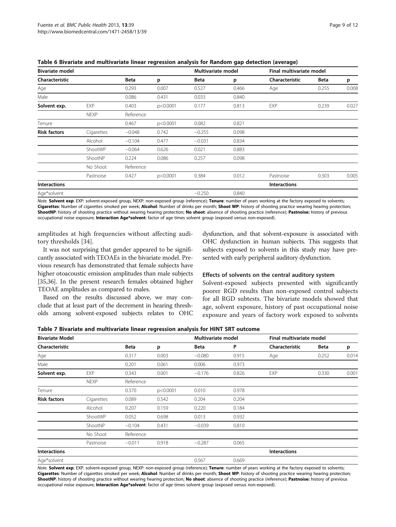| <b>Bivariate model</b> |             |             |          | Multivariate model |       | Final multivariate model |       |       |  |
|------------------------|-------------|-------------|----------|--------------------|-------|--------------------------|-------|-------|--|
| Characteristic         |             | <b>Beta</b> | p        | <b>Beta</b>        | р     | Characteristic           | Beta  | p     |  |
| Age                    |             | 0.293       | 0.007    | 0.527              | 0.466 | Age                      | 0.255 | 0.008 |  |
| Male                   |             | 0.086       | 0.431    | 0.033              | 0.840 |                          |       |       |  |
| Solvent exp.           | <b>EXP</b>  | 0.403       | p<0.0001 | 0.177              | 0.813 | EXP                      | 0.239 | 0.027 |  |
|                        | <b>NEXP</b> | Reference   |          |                    |       |                          |       |       |  |
| Tenure                 |             | 0.467       | p<0.0001 | 0.082              | 0.821 |                          |       |       |  |
| <b>Risk factors</b>    | Cigarettes  | $-0.048$    | 0.742    | $-0.255$           | 0.098 |                          |       |       |  |
|                        | Alcohol     | $-0.104$    | 0.477    | $-0.031$           | 0.834 |                          |       |       |  |
|                        | ShootWP     | $-0.064$    | 0.626    | 0.021              | 0.883 |                          |       |       |  |
|                        | ShootNP     | 0.224       | 0.086    | 0.257              | 0.098 |                          |       |       |  |
|                        | No Shoot    | Reference   |          |                    |       |                          |       |       |  |
|                        | Pastnoise   | 0.427       | p<0.0001 | 0.384              | 0.012 | Pastnoise                | 0.303 | 0.005 |  |
| <b>Interactions</b>    |             |             |          |                    |       | <b>Interactions</b>      |       |       |  |
| Age*solvent            |             |             |          | $-0.250$           | 0.840 |                          |       |       |  |

<span id="page-8-0"></span>Table 6 Bivariate and multivariate linear regression analysis for Random gap detection (average)

Note. Solvent exp: EXP: solvent-exposed group, NEXP: non-exposed group (reference); Tenure: number of years working at the factory exposed to solvents; Cigarettes: Number of cigarettes smoked per week; Alcohol: Number of drinks per month; Shoot WP: history of shooting practice wearing hearing protection; ShootNP: history of shooting practice without wearing hearing protection; No shoot: absence of shooting practice (reference); Pastnoise: history of previous occupational noise exposure; Interaction Age\*solvent: factor of age times solvent group (exposed versus non-exposed).

amplitudes at high frequencies without affecting auditory thresholds [\[34](#page-11-0)].

It was not surprising that gender appeared to be significantly associated with TEOAEs in the bivariate model. Previous research has demonstrated that female subjects have higher otoacoustic emission amplitudes than male subjects [[35,36\]](#page-11-0). In the present research females obtained higher TEOAE amplitudes as compared to males.

Based on the results discussed above, we may conclude that at least part of the decrement in hearing thresholds among solvent-exposed subjects relates to OHC

dysfunction, and that solvent-exposure is associated with OHC dysfunction in human subjects. This suggests that subjects exposed to solvents in this study may have presented with early peripheral auditory dysfunction.

#### Effects of solvents on the central auditory system

Solvent-exposed subjects presented with significantly poorer RGD results than non-exposed control subjects for all RGD subtests. The bivariate models showed that age, solvent exposure, history of past occupational noise exposure and years of factory work exposed to solvents

Table 7 Bivariate and multivariate linear regression analysis for HINT SRT outcome

| <b>Bivariate Model</b> |             |             |          | Multivariate model |       | Final multivariate model |       |       |
|------------------------|-------------|-------------|----------|--------------------|-------|--------------------------|-------|-------|
| Characteristic         |             | <b>Beta</b> | p        | <b>Beta</b>        | P     | <b>Characteristic</b>    | Beta  | p     |
| Age                    |             | 0.317       | 0.003    | $-0.080$           | 0.915 | Age                      | 0.252 | 0.014 |
| Male                   |             | 0.201       | 0.061    | 0.006              | 0.973 |                          |       |       |
| Solvent exp.           | EXP         | 0.343       | 0.001    | $-0.176$           | 0.826 | EXP                      | 0.330 | 0.001 |
|                        | <b>NEXP</b> | Reference   |          |                    |       |                          |       |       |
| Tenure                 |             | 0.370       | p<0.0001 | 0.010              | 0.978 |                          |       |       |
| <b>Risk factors</b>    | Cigarettes  | 0.089       | 0.542    | 0.204              | 0.204 |                          |       |       |
|                        | Alcohol     | 0.207       | 0.159    | 0.220              | 0.184 |                          |       |       |
|                        | ShootWP     | 0.052       | 0.698    | 0.013              | 0.932 |                          |       |       |
|                        | ShootNP     | $-0.104$    | 0.431    | $-0.039$           | 0.810 |                          |       |       |
|                        | No Shoot    | Reference   |          |                    |       |                          |       |       |
|                        | Pastnoise   | $-0.011$    | 0.918    | $-0.287$           | 0.065 |                          |       |       |
| <b>Interactions</b>    |             |             |          |                    |       | <b>Interactions</b>      |       |       |
| Age*solvent            |             |             |          | 0.567              | 0.669 |                          |       |       |

Note. Solvent exp: EXP: solvent-exposed group, NEXP: non-exposed group (reference); Tenure: number of years working at the factory exposed to solvents; Cigarettes: Number of cigarettes smoked per week; Alcohol: Number of drinks per month; Shoot WP: history of shooting practice wearing hearing protection; ShootNP: history of shooting practice without wearing hearing protection; No shoot: absence of shooting practice (reference); Pastnoise: history of previous occupational noise exposure; Interaction Age\*solvent: factor of age times solvent group (exposed versus non-exposed).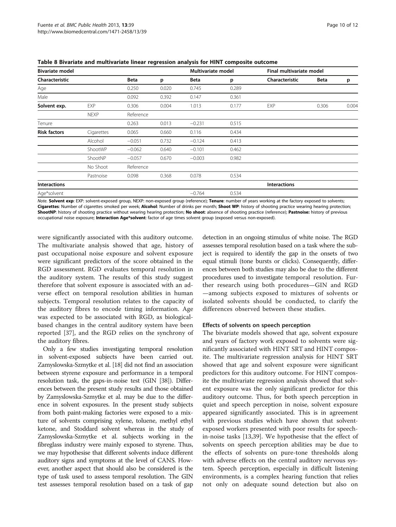| <b>Bivariate model</b> |             |           |       | Multivariate model |       | Final multivariate model |       |       |  |  |
|------------------------|-------------|-----------|-------|--------------------|-------|--------------------------|-------|-------|--|--|
| Characteristic         |             | Beta      | p     | <b>Beta</b>        | р     | Characteristic           | Beta  | p     |  |  |
| Age                    |             | 0.250     | 0.020 | 0.745              | 0.289 |                          |       |       |  |  |
| Male                   |             | 0.092     | 0.392 | 0.147              | 0.361 |                          |       |       |  |  |
| Solvent exp.           | EXP         | 0.306     | 0.004 | 1.013              | 0.177 | EXP                      | 0.306 | 0.004 |  |  |
|                        | <b>NEXP</b> | Reference |       |                    |       |                          |       |       |  |  |
| Tenure                 |             | 0.263     | 0.013 | $-0.231$           | 0.515 |                          |       |       |  |  |
| <b>Risk factors</b>    | Cigarettes  | 0.065     | 0.660 | 0.116              | 0.434 |                          |       |       |  |  |
|                        | Alcohol     | $-0.051$  | 0.732 | $-0.124$           | 0.413 |                          |       |       |  |  |
|                        | ShootWP     | $-0.062$  | 0.640 | $-0.101$           | 0.462 |                          |       |       |  |  |
|                        | ShootNP     | $-0.057$  | 0.670 | $-0.003$           | 0.982 |                          |       |       |  |  |
|                        | No Shoot    | Reference |       |                    |       |                          |       |       |  |  |
|                        | Pastnoise   | 0.098     | 0.368 | 0.078              | 0.534 |                          |       |       |  |  |
| <b>Interactions</b>    |             |           |       |                    |       | <b>Interactions</b>      |       |       |  |  |
| Age*solvent            |             |           |       | $-0.764$           | 0.534 |                          |       |       |  |  |

<span id="page-9-0"></span>Table 8 Bivariate and multivariate linear regression analysis for HINT composite outcome

Note. Solvent exp: EXP: solvent-exposed group, NEXP: non-exposed group (reference); Tenure: number of years working at the factory exposed to solvents; Cigarettes: Number of cigarettes smoked per week; Alcohol: Number of drinks per month; Shoot WP: history of shooting practice wearing hearing protection; ShootNP: history of shooting practice without wearing hearing protection; No shoot: absence of shooting practice (reference); Pastnoise: history of previous occupational noise exposure; Interaction Age\*solvent: factor of age times solvent group (exposed versus non-exposed).

were significantly associated with this auditory outcome. The multivariate analysis showed that age, history of past occupational noise exposure and solvent exposure were significant predictors of the score obtained in the RGD assessment. RGD evaluates temporal resolution in the auditory system. The results of this study suggest therefore that solvent exposure is associated with an adverse effect on temporal resolution abilities in human subjects. Temporal resolution relates to the capacity of the auditory fibres to encode timing information. Age was expected to be associated with RGD, as biologicalbased changes in the central auditory system have been reported [[37\]](#page-11-0), and the RGD relies on the synchrony of the auditory fibres.

Only a few studies investigating temporal resolution in solvent-exposed subjects have been carried out. Zamyslowska-Szmytke et al. [\[18](#page-11-0)] did not find an association between styrene exposure and performance in a temporal resolution task, the gaps-in-noise test (GIN [[38](#page-11-0)]). Differences between the present study results and those obtained by Zamyslowska-Szmytke et al. may be due to the difference in solvent exposures. In the present study subjects from both paint-making factories were exposed to a mixture of solvents comprising xylene, toluene, methyl ethyl ketone, and Stoddard solvent whereas in the study of Zamyslowska-Szmytke et al. subjects working in the fibreglass industry were mainly exposed to styrene. Thus, we may hypothesise that different solvents induce different auditory signs and symptoms at the level of CANS. However, another aspect that should also be considered is the type of task used to assess temporal resolution. The GIN test assesses temporal resolution based on a task of gap

detection in an ongoing stimulus of white noise. The RGD assesses temporal resolution based on a task where the subject is required to identify the gap in the onsets of two equal stimuli (tone bursts or clicks). Consequently, differences between both studies may also be due to the different procedures used to investigate temporal resolution. Further research using both procedures—GIN and RGD —among subjects exposed to mixtures of solvents or isolated solvents should be conducted, to clarify the differences observed between these studies.

#### Effects of solvents on speech perception

The bivariate models showed that age, solvent exposure and years of factory work exposed to solvents were significantly associated with HINT SRT and HINT composite. The multivariate regression analysis for HINT SRT showed that age and solvent exposure were significant predictors for this auditory outcome. For HINT composite the multivariate regression analysis showed that solvent exposure was the only significant predictor for this auditory outcome. Thus, for both speech perception in quiet and speech perception in noise, solvent exposure appeared significantly associated. This is in agreement with previous studies which have shown that solventexposed workers presented with poor results for speechin-noise tasks [\[13,39](#page-11-0)]. We hypothesise that the effect of solvents on speech perception abilities may be due to the effects of solvents on pure-tone thresholds along with adverse effects on the central auditory nervous system. Speech perception, especially in difficult listening environments, is a complex hearing function that relies not only on adequate sound detection but also on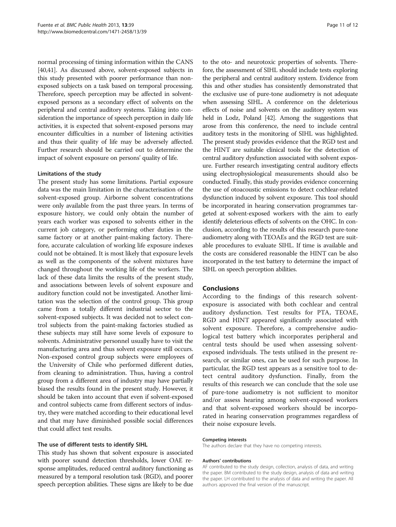normal processing of timing information within the CANS [[40,41\]](#page-11-0). As discussed above, solvent-exposed subjects in this study presented with poorer performance than nonexposed subjects on a task based on temporal processing. Therefore, speech perception may be affected in solventexposed persons as a secondary effect of solvents on the peripheral and central auditory systems. Taking into consideration the importance of speech perception in daily life activities, it is expected that solvent-exposed persons may encounter difficulties in a number of listening activities and thus their quality of life may be adversely affected. Further research should be carried out to determine the impact of solvent exposure on persons' quality of life.

#### Limitations of the study

The present study has some limitations. Partial exposure data was the main limitation in the characterisation of the solvent-exposed group. Airborne solvent concentrations were only available from the past three years. In terms of exposure history, we could only obtain the number of years each worker was exposed to solvents either in the current job category, or performing other duties in the same factory or at another paint-making factory. Therefore, accurate calculation of working life exposure indexes could not be obtained. It is most likely that exposure levels as well as the components of the solvent mixtures have changed throughout the working life of the workers. The lack of these data limits the results of the present study, and associations between levels of solvent exposure and auditory function could not be investigated. Another limitation was the selection of the control group. This group came from a totally different industrial sector to the solvent-exposed subjects. It was decided not to select control subjects from the paint-making factories studied as these subjects may still have some levels of exposure to solvents. Administrative personnel usually have to visit the manufacturing area and thus solvent exposure still occurs. Non-exposed control group subjects were employees of the University of Chile who performed different duties, from cleaning to administration. Thus, having a control group from a different area of industry may have partially biased the results found in the present study. However, it should be taken into account that even if solvent-exposed and control subjects came from different sectors of industry, they were matched according to their educational level and that may have diminished possible social differences that could affect test results.

#### The use of different tests to identify SIHL

This study has shown that solvent exposure is associated with poorer sound detection thresholds, lower OAE response amplitudes, reduced central auditory functioning as measured by a temporal resolution task (RGD), and poorer speech perception abilities. These signs are likely to be due

to the oto- and neurotoxic properties of solvents. Therefore, the assessment of SIHL should include tests exploring the peripheral and central auditory system. Evidence from this and other studies has consistently demonstrated that the exclusive use of pure-tone audiometry is not adequate when assessing SIHL. A conference on the deleterious effects of noise and solvents on the auditory system was held in Lodz, Poland [\[42\]](#page-11-0). Among the suggestions that arose from this conference, the need to include central auditory tests in the monitoring of SIHL was highlighted. The present study provides evidence that the RGD test and the HINT are suitable clinical tools for the detection of central auditory dysfunction associated with solvent exposure. Further research investigating central auditory effects using electrophysiological measurements should also be conducted. Finally, this study provides evidence concerning the use of otoacoustic emissions to detect cochlear-related dysfunction induced by solvent exposure. This tool should be incorporated in hearing conservation programmes targeted at solvent-exposed workers with the aim to early identify deleterious effects of solvents on the OHC. In conclusion, according to the results of this research pure-tone audiometry along with TEOAEs and the RGD test are suitable procedures to evaluate SIHL. If time is available and the costs are considered reasonable the HINT can be also incorporated in the test battery to determine the impact of SIHL on speech perception abilities.

#### Conclusions

According to the findings of this research solventexposure is associated with both cochlear and central auditory dysfunction. Test results for PTA, TEOAE, RGD and HINT appeared significantly associated with solvent exposure. Therefore, a comprehensive audiological test battery which incorporates peripheral and central tests should be used when assessing solventexposed individuals. The tests utilised in the present research, or similar ones, can be used for such purpose. In particular, the RGD test appears as a sensitive tool to detect central auditory dysfunction. Finally, from the results of this research we can conclude that the sole use of pure-tone audiometry is not sufficient to monitor and/or assess hearing among solvent-exposed workers and that solvent-exposed workers should be incorporated in hearing conservation programmes regardless of their noise exposure levels.

#### Competing interests

The authors declare that they have no competing interests.

#### Authors' contributions

AF contributed to the study design, collection, analysis of data, and writing the paper. BM contributed to the study design, analysis of data and writing the paper. LH contributed to the analysis of data and writing the paper. All authors approved the final version of the manuscript.